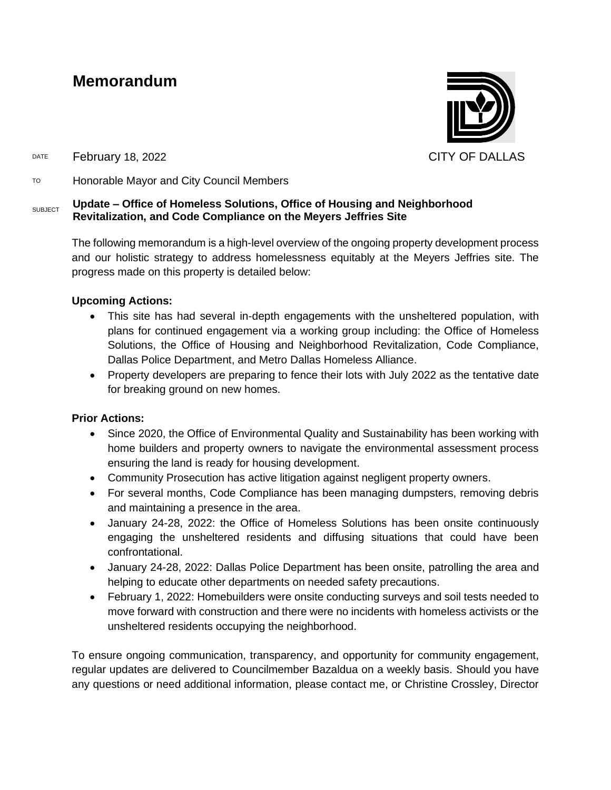# **Memorandum**



DATE February 18, 2022 CITY OF DALLAS

TO Honorable Mayor and City Council Members

#### **SUBJECT Update – Office of Homeless Solutions, Office of Housing and Neighborhood Revitalization, and Code Compliance on the Meyers Jeffries Site**

The following memorandum is a high-level overview of the ongoing property development process and our holistic strategy to address homelessness equitably at the Meyers Jeffries site. The progress made on this property is detailed below:

# **Upcoming Actions:**

- This site has had several in-depth engagements with the unsheltered population, with plans for continued engagement via a working group including: the Office of Homeless Solutions, the Office of Housing and Neighborhood Revitalization, Code Compliance, Dallas Police Department, and Metro Dallas Homeless Alliance.
- Property developers are preparing to fence their lots with July 2022 as the tentative date for breaking ground on new homes.

## **Prior Actions:**

- Since 2020, the Office of Environmental Quality and Sustainability has been working with home builders and property owners to navigate the environmental assessment process ensuring the land is ready for housing development.
- Community Prosecution has active litigation against negligent property owners.
- For several months, Code Compliance has been managing dumpsters, removing debris and maintaining a presence in the area.
- January 24-28, 2022: the Office of Homeless Solutions has been onsite continuously engaging the unsheltered residents and diffusing situations that could have been confrontational.
- January 24-28, 2022: Dallas Police Department has been onsite, patrolling the area and helping to educate other departments on needed safety precautions.
- February 1, 2022: Homebuilders were onsite conducting surveys and soil tests needed to move forward with construction and there were no incidents with homeless activists or the unsheltered residents occupying the neighborhood.

To ensure ongoing communication, transparency, and opportunity for community engagement, regular updates are delivered to Councilmember Bazaldua on a weekly basis. Should you have any questions or need additional information, please contact me, or Christine Crossley, Director